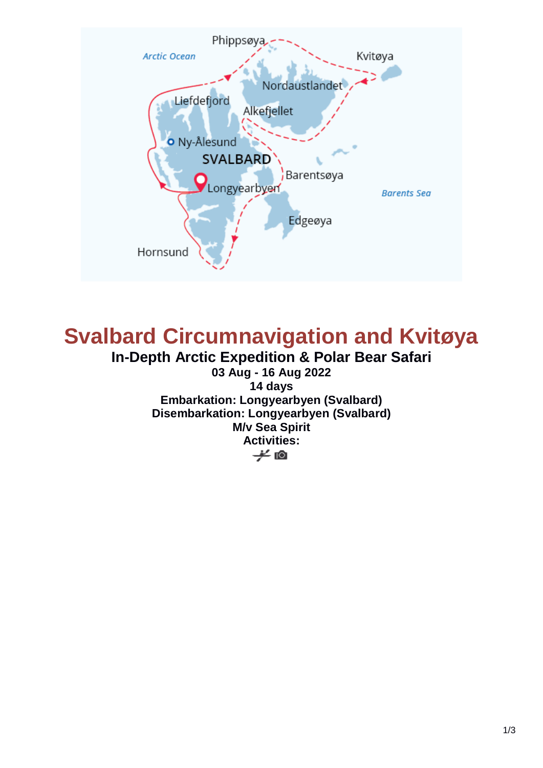

# **Svalbard Circumnavigation and Kvitøya**

**In-Depth Arctic Expedition & Polar Bear Safari**

**03 Aug - 16 Aug 2022 14 days Embarkation: Longyearbyen (Svalbard) Disembarkation: Longyearbyen (Svalbard) M/v Sea Spirit Activities:** $\neq$  0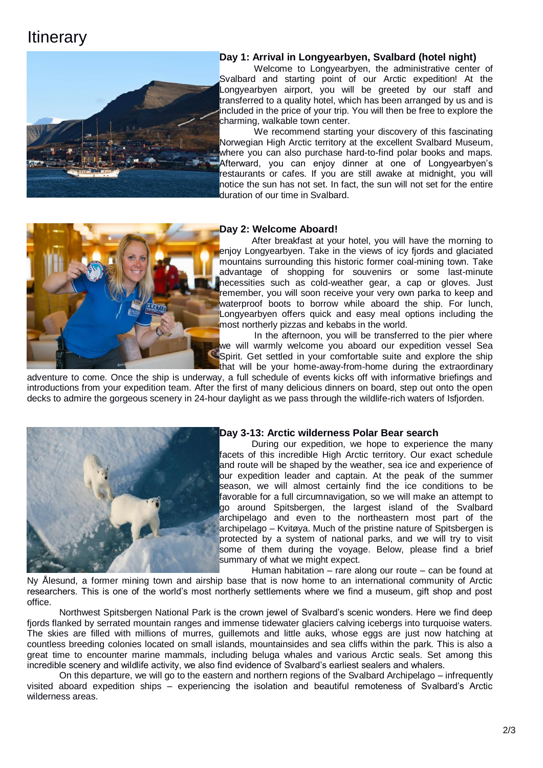## **Itinerary**



### **Day 1: Arrival in Longyearbyen, Svalbard (hotel night)**

Welcome to Longyearbyen, the administrative center of Svalbard and starting point of our Arctic expedition! At the Longyearbyen airport, you will be greeted by our staff and transferred to a quality hotel, which has been arranged by us and is included in the price of your trip. You will then be free to explore the charming, walkable town center.

We recommend starting your discovery of this fascinating Norwegian High Arctic territory at the excellent Svalbard Museum, where you can also purchase hard-to-find polar books and maps. Afterward, you can enjoy dinner at one of Longyearbyen's restaurants or cafes. If you are still awake at midnight, you will notice the sun has not set. In fact, the sun will not set for the entire duration of our time in Svalbard.



#### **Day 2: Welcome Aboard!**

After breakfast at your hotel, you will have the morning to enjoy Longyearbyen. Take in the views of icy fjords and glaciated mountains surrounding this historic former coal-mining town. Take advantage of shopping for souvenirs or some last-minute necessities such as cold-weather gear, a cap or gloves. Just remember, you will soon receive your very own parka to keep and waterproof boots to borrow while aboard the ship. For lunch, Longyearbyen offers quick and easy meal options including the most northerly pizzas and kebabs in the world.

In the afternoon, you will be transferred to the pier where we will warmly welcome you aboard our expedition vessel Sea Spirit. Get settled in your comfortable suite and explore the ship that will be your home-away-from-home during the extraordinary

adventure to come. Once the ship is underway, a full schedule of events kicks off with informative briefings and introductions from your expedition team. After the first of many delicious dinners on board, step out onto the open decks to admire the gorgeous scenery in 24-hour daylight as we pass through the wildlife-rich waters of Isfjorden.



#### **Day 3-13: Arctic wilderness Polar Bear search**

During our expedition, we hope to experience the many facets of this incredible High Arctic territory. Our exact schedule and route will be shaped by the weather, sea ice and experience of our expedition leader and captain. At the peak of the summer season, we will almost certainly find the ice conditions to be favorable for a full circumnavigation, so we will make an attempt to go around Spitsbergen, the largest island of the Svalbard archipelago and even to the northeastern most part of the archipelago – Kvitøya. Much of the pristine nature of Spitsbergen is protected by a system of national parks, and we will try to visit some of them during the voyage. Below, please find a brief summary of what we might expect.

Human habitation – rare along our route – can be found at Ny Ålesund, a former mining town and airship base that is now home to an international community of Arctic researchers. This is one of the world's most northerly settlements where we find a museum, gift shop and post office.

Northwest Spitsbergen National Park is the crown jewel of Svalbard's scenic wonders. Here we find deep fjords flanked by serrated mountain ranges and immense tidewater glaciers calving icebergs into turquoise waters. The skies are filled with millions of murres, guillemots and little auks, whose eggs are just now hatching at countless breeding colonies located on small islands, mountainsides and sea cliffs within the park. This is also a great time to encounter marine mammals, including beluga whales and various Arctic seals. Set among this incredible scenery and wildlife activity, we also find evidence of Svalbard's earliest sealers and whalers.

On this departure, we will go to the eastern and northern regions of the Svalbard Archipelago – infrequently visited aboard expedition ships – experiencing the isolation and beautiful remoteness of Svalbard's Arctic wilderness areas.